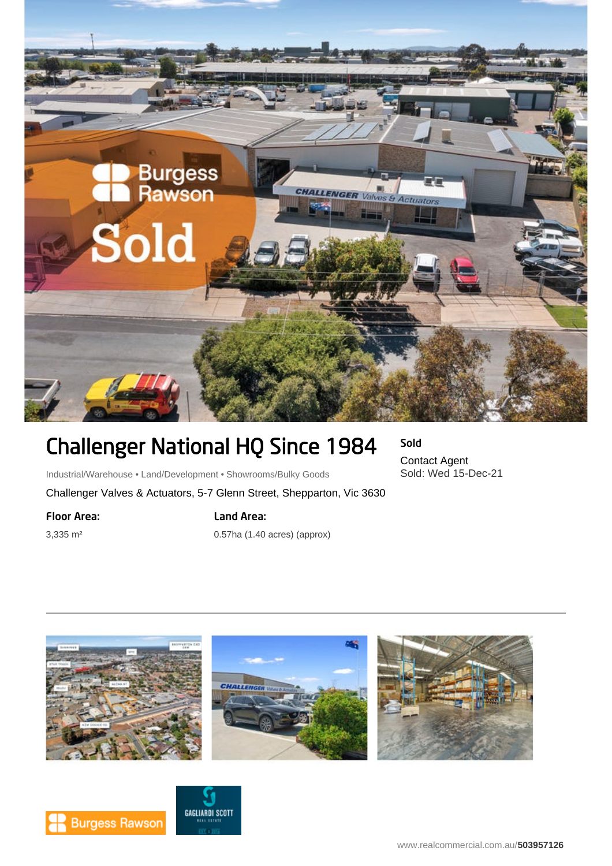

# Challenger National HQ Since 1984

## Sold Contact Agent

Sold: Wed 15-Dec-21

Industrial/Warehouse • Land/Development • Showrooms/Bulky Goods

Challenger Valves & Actuators, 5-7 Glenn Street, Shepparton, Vic 3630

Floor Area:

3,335 m²

## Land Area:

0.57ha (1.40 acres) (approx)